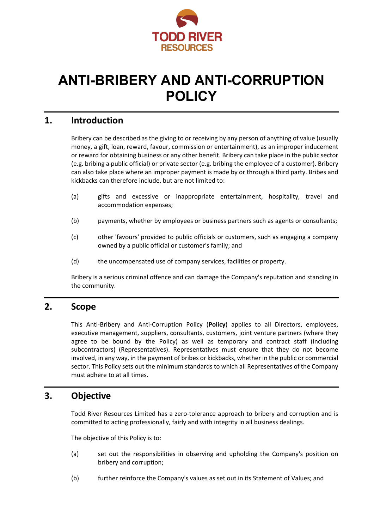

# **ANTI-BRIBERY AND ANTI-CORRUPTION POLICY**

## **1. Introduction**

Bribery can be described as the giving to or receiving by any person of anything of value (usually money, a gift, loan, reward, favour, commission or entertainment), as an improper inducement or reward for obtaining business or any other benefit. Bribery can take place in the public sector (e.g. bribing a public official) or private sector (e.g. bribing the employee of a customer). Bribery can also take place where an improper payment is made by or through a third party. Bribes and kickbacks can therefore include, but are not limited to:

- (a) gifts and excessive or inappropriate entertainment, hospitality, travel and accommodation expenses;
- (b) payments, whether by employees or business partners such as agents or consultants;
- (c) other 'favours' provided to public officials or customers, such as engaging a company owned by a public official or customer's family; and
- (d) the uncompensated use of company services, facilities or property.

Bribery is a serious criminal offence and can damage the Company's reputation and standing in the community.

## **2. Scope**

This Anti-Bribery and Anti-Corruption Policy (**Policy**) applies to all Directors, employees, executive management, suppliers, consultants, customers, joint venture partners (where they agree to be bound by the Policy) as well as temporary and contract staff (including subcontractors) (Representatives). Representatives must ensure that they do not become involved, in any way, in the payment of bribes or kickbacks, whether in the public or commercial sector. This Policy sets out the minimum standards to which all Representatives of the Company must adhere to at all times.

## **3. Objective**

Todd River Resources Limited has a zero-tolerance approach to bribery and corruption and is committed to acting professionally, fairly and with integrity in all business dealings.

The objective of this Policy is to:

- (a) set out the responsibilities in observing and upholding the Company's position on bribery and corruption;
- (b) further reinforce the Company's values as set out in its Statement of Values; and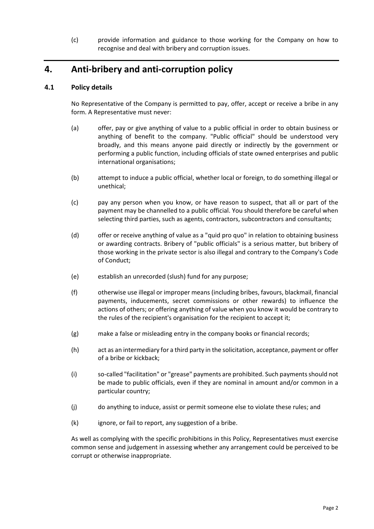(c) provide information and guidance to those working for the Company on how to recognise and deal with bribery and corruption issues.

# **4. Anti-bribery and anti-corruption policy**

#### **4.1 Policy details**

No Representative of the Company is permitted to pay, offer, accept or receive a bribe in any form. A Representative must never:

- (a) offer, pay or give anything of value to a public official in order to obtain business or anything of benefit to the company. "Public official" should be understood very broadly, and this means anyone paid directly or indirectly by the government or performing a public function, including officials of state owned enterprises and public international organisations;
- (b) attempt to induce a public official, whether local or foreign, to do something illegal or unethical;
- (c) pay any person when you know, or have reason to suspect, that all or part of the payment may be channelled to a public official. You should therefore be careful when selecting third parties, such as agents, contractors, subcontractors and consultants;
- (d) offer or receive anything of value as a "quid pro quo" in relation to obtaining business or awarding contracts. Bribery of "public officials" is a serious matter, but bribery of those working in the private sector is also illegal and contrary to the Company's Code of Conduct;
- (e) establish an unrecorded (slush) fund for any purpose;
- (f) otherwise use illegal or improper means (including bribes, favours, blackmail, financial payments, inducements, secret commissions or other rewards) to influence the actions of others; or offering anything of value when you know it would be contrary to the rules of the recipient's organisation for the recipient to accept it;
- (g) make a false or misleading entry in the company books or financial records;
- (h) act as an intermediary for a third party in the solicitation, acceptance, payment or offer of a bribe or kickback;
- (i) so-called "facilitation" or "grease" payments are prohibited. Such payments should not be made to public officials, even if they are nominal in amount and/or common in a particular country;
- (j) do anything to induce, assist or permit someone else to violate these rules; and
- (k) ignore, or fail to report, any suggestion of a bribe.

As well as complying with the specific prohibitions in this Policy, Representatives must exercise common sense and judgement in assessing whether any arrangement could be perceived to be corrupt or otherwise inappropriate.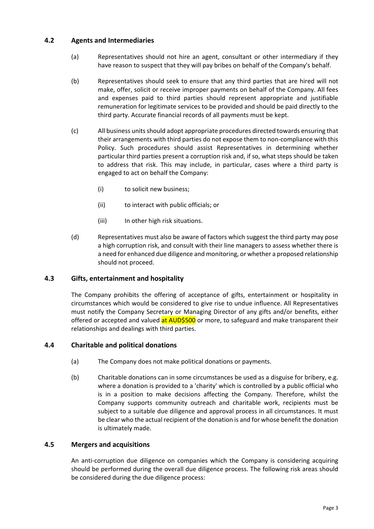#### **4.2 Agents and Intermediaries**

- (a) Representatives should not hire an agent, consultant or other intermediary if they have reason to suspect that they will pay bribes on behalf of the Company's behalf.
- (b) Representatives should seek to ensure that any third parties that are hired will not make, offer, solicit or receive improper payments on behalf of the Company. All fees and expenses paid to third parties should represent appropriate and justifiable remuneration for legitimate services to be provided and should be paid directly to the third party. Accurate financial records of all payments must be kept.
- (c) All business units should adopt appropriate procedures directed towards ensuring that their arrangements with third parties do not expose them to non-compliance with this Policy. Such procedures should assist Representatives in determining whether particular third parties present a corruption risk and, if so, what steps should be taken to address that risk. This may include, in particular, cases where a third party is engaged to act on behalf the Company:
	- (i) to solicit new business;
	- (ii) to interact with public officials; or
	- (iii) In other high risk situations.
- (d) Representatives must also be aware of factors which suggest the third party may pose a high corruption risk, and consult with their line managers to assess whether there is a need for enhanced due diligence and monitoring, or whether a proposed relationship should not proceed.

#### **4.3 Gifts, entertainment and hospitality**

The Company prohibits the offering of acceptance of gifts, entertainment or hospitality in circumstances which would be considered to give rise to undue influence. All Representatives must notify the Company Secretary or Managing Director of any gifts and/or benefits, either offered or accepted and valued at AUD\$500 or more, to safeguard and make transparent their relationships and dealings with third parties.

#### **4.4 Charitable and political donations**

- (a) The Company does not make political donations or payments.
- (b) Charitable donations can in some circumstances be used as a disguise for bribery, e.g. where a donation is provided to a 'charity' which is controlled by a public official who is in a position to make decisions affecting the Company. Therefore, whilst the Company supports community outreach and charitable work, recipients must be subject to a suitable due diligence and approval process in all circumstances. It must be clear who the actual recipient of the donation is and for whose benefit the donation is ultimately made.

#### **4.5 Mergers and acquisitions**

An anti-corruption due diligence on companies which the Company is considering acquiring should be performed during the overall due diligence process. The following risk areas should be considered during the due diligence process: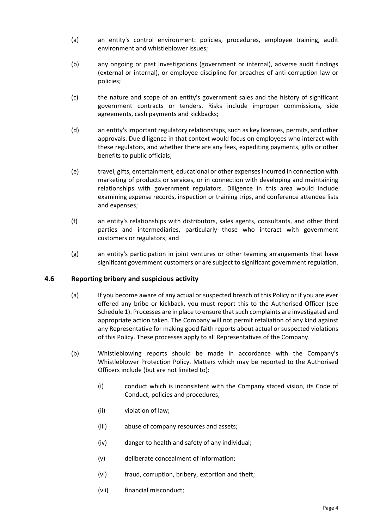- (a) an entity's control environment: policies, procedures, employee training, audit environment and whistleblower issues;
- (b) any ongoing or past investigations (government or internal), adverse audit findings (external or internal), or employee discipline for breaches of anti-corruption law or policies;
- (c) the nature and scope of an entity's government sales and the history of significant government contracts or tenders. Risks include improper commissions, side agreements, cash payments and kickbacks;
- (d) an entity's important regulatory relationships, such as key licenses, permits, and other approvals. Due diligence in that context would focus on employees who interact with these regulators, and whether there are any fees, expediting payments, gifts or other benefits to public officials;
- (e) travel, gifts, entertainment, educational or other expenses incurred in connection with marketing of products or services, or in connection with developing and maintaining relationships with government regulators. Diligence in this area would include examining expense records, inspection or training trips, and conference attendee lists and expenses;
- (f) an entity's relationships with distributors, sales agents, consultants, and other third parties and intermediaries, particularly those who interact with government customers or regulators; and
- (g) an entity's participation in joint ventures or other teaming arrangements that have significant government customers or are subject to significant government regulation.

#### **4.6 Reporting bribery and suspicious activity**

- (a) If you become aware of any actual or suspected breach of this Policy or if you are ever offered any bribe or kickback, you must report this to the Authorised Officer (see Schedule 1). Processes are in place to ensure that such complaints are investigated and appropriate action taken. The Company will not permit retaliation of any kind against any Representative for making good faith reports about actual or suspected violations of this Policy. These processes apply to all Representatives of the Company.
- (b) Whistleblowing reports should be made in accordance with the Company's Whistleblower Protection Policy. Matters which may be reported to the Authorised Officers include (but are not limited to):
	- (i) conduct which is inconsistent with the Company stated vision, its Code of Conduct, policies and procedures;
	- (ii) violation of law;
	- (iii) abuse of company resources and assets;
	- (iv) danger to health and safety of any individual;
	- (v) deliberate concealment of information;
	- (vi) fraud, corruption, bribery, extortion and theft;
	- (vii) financial misconduct;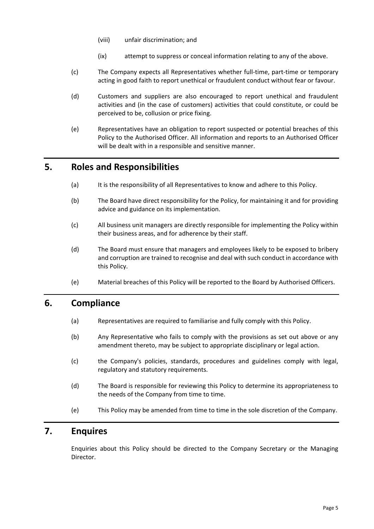- (viii) unfair discrimination; and
- (ix) attempt to suppress or conceal information relating to any of the above.
- (c) The Company expects all Representatives whether full-time, part-time or temporary acting in good faith to report unethical or fraudulent conduct without fear or favour.
- (d) Customers and suppliers are also encouraged to report unethical and fraudulent activities and (in the case of customers) activities that could constitute, or could be perceived to be, collusion or price fixing.
- (e) Representatives have an obligation to report suspected or potential breaches of this Policy to the Authorised Officer. All information and reports to an Authorised Officer will be dealt with in a responsible and sensitive manner.

## **5. Roles and Responsibilities**

- (a) It is the responsibility of all Representatives to know and adhere to this Policy.
- (b) The Board have direct responsibility for the Policy, for maintaining it and for providing advice and guidance on its implementation.
- (c) All business unit managers are directly responsible for implementing the Policy within their business areas, and for adherence by their staff.
- (d) The Board must ensure that managers and employees likely to be exposed to bribery and corruption are trained to recognise and deal with such conduct in accordance with this Policy.
- (e) Material breaches of this Policy will be reported to the Board by Authorised Officers.

## **6. Compliance**

- (a) Representatives are required to familiarise and fully comply with this Policy.
- (b) Any Representative who fails to comply with the provisions as set out above or any amendment thereto, may be subject to appropriate disciplinary or legal action.
- (c) the Company's policies, standards, procedures and guidelines comply with legal, regulatory and statutory requirements.
- (d) The Board is responsible for reviewing this Policy to determine its appropriateness to the needs of the Company from time to time.
- (e) This Policy may be amended from time to time in the sole discretion of the Company.

## **7. Enquires**

Enquiries about this Policy should be directed to the Company Secretary or the Managing Director.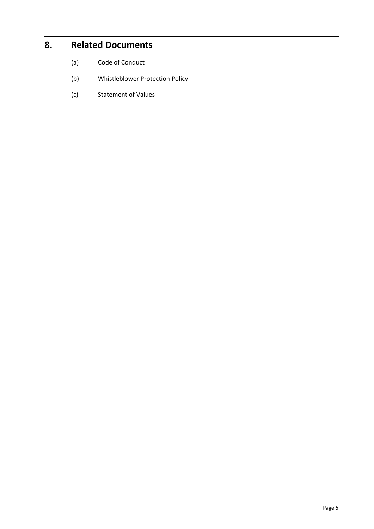# **8. Related Documents**

- (a) Code of Conduct
- (b) Whistleblower Protection Policy
- (c) Statement of Values